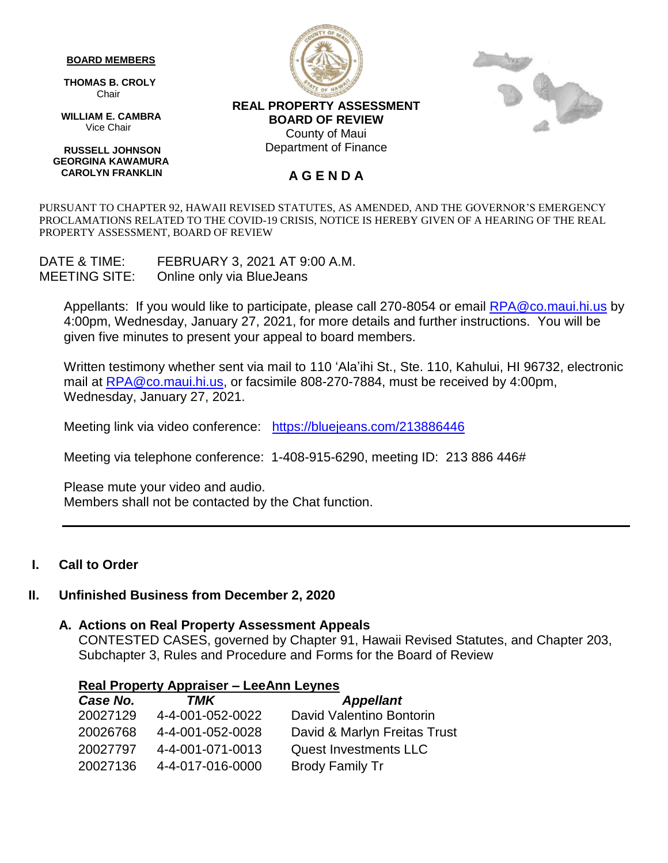#### **BOARD MEMBERS**

 **THOMAS B. CROLY** Chair

 **WILLIAM E. CAMBRA** Vice Chair

 **RUSSELL JOHNSON GEORGINA KAWAMURA CAROLYN FRANKLIN**





**REAL PROPERTY ASSESSMENT BOARD OF REVIEW** County of Maui Department of Finance

#### **A G E N D A**

PURSUANT TO CHAPTER 92, HAWAII REVISED STATUTES, AS AMENDED, AND THE GOVERNOR'S EMERGENCY PROCLAMATIONS RELATED TO THE COVID-19 CRISIS, NOTICE IS HEREBY GIVEN OF A HEARING OF THE REAL PROPERTY ASSESSMENT, BOARD OF REVIEW

DATE & TIME: FEBRUARY 3, 2021 AT 9:00 A.M. MEETING SITE: Online only via BlueJeans

Appellants: If you would like to participate, please call 270-8054 or email [RPA@co.maui.hi.us](mailto:RPA@co.maui.hi.us) by 4:00pm, Wednesday, January 27, 2021, for more details and further instructions. You will be given five minutes to present your appeal to board members.

Written testimony whether sent via mail to 110 'Ala'ihi St., Ste. 110, Kahului, HI 96732, electronic mail at [RPA@co.maui.hi.us,](mailto:RPA@co.maui.hi.us) or facsimile 808-270-7884, must be received by 4:00pm, Wednesday, January 27, 2021.

Meeting link via video conference: <https://bluejeans.com/213886446>

Meeting via telephone conference: 1-408-915-6290, meeting ID: 213 886 446#

Please mute your video and audio. Members shall not be contacted by the Chat function.

### **I. Call to Order**

### **II. Unfinished Business from December 2, 2020**

#### **A. Actions on Real Property Assessment Appeals**

CONTESTED CASES, governed by Chapter 91, Hawaii Revised Statutes, and Chapter 203, Subchapter 3, Rules and Procedure and Forms for the Board of Review

#### **Real Property Appraiser – LeeAnn Leynes**

| Case No. | TMK              | <b>Appellant</b>             |
|----------|------------------|------------------------------|
| 20027129 | 4-4-001-052-0022 | David Valentino Bontorin     |
| 20026768 | 4-4-001-052-0028 | David & Marlyn Freitas Trust |
| 20027797 | 4-4-001-071-0013 | <b>Quest Investments LLC</b> |
| 20027136 | 4-4-017-016-0000 | <b>Brody Family Tr</b>       |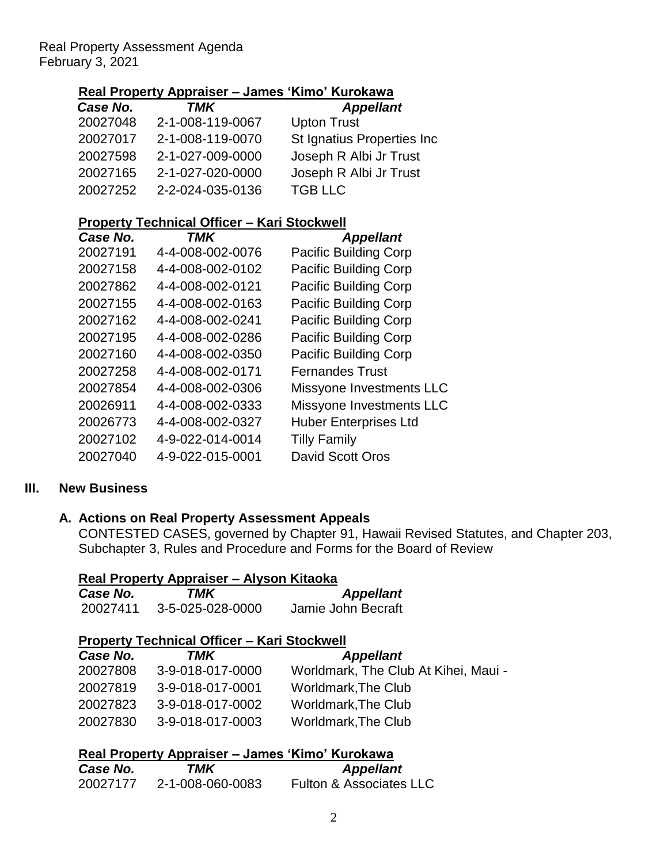### **Real Property Appraiser – James 'Kimo' Kurokawa**

| Case No. | TMK              | <b>Appellant</b>           |
|----------|------------------|----------------------------|
| 20027048 | 2-1-008-119-0067 | <b>Upton Trust</b>         |
| 20027017 | 2-1-008-119-0070 | St Ignatius Properties Inc |
| 20027598 | 2-1-027-009-0000 | Joseph R Albi Jr Trust     |
| 20027165 | 2-1-027-020-0000 | Joseph R Albi Jr Trust     |
| 20027252 | 2-2-024-035-0136 | <b>TGB LLC</b>             |

### **Property Technical Officer – Kari Stockwell**

| Case No. | TMK              | <b>Appellant</b>             |
|----------|------------------|------------------------------|
| 20027191 | 4-4-008-002-0076 | <b>Pacific Building Corp</b> |
| 20027158 | 4-4-008-002-0102 | <b>Pacific Building Corp</b> |
| 20027862 | 4-4-008-002-0121 | <b>Pacific Building Corp</b> |
| 20027155 | 4-4-008-002-0163 | <b>Pacific Building Corp</b> |
| 20027162 | 4-4-008-002-0241 | <b>Pacific Building Corp</b> |
| 20027195 | 4-4-008-002-0286 | <b>Pacific Building Corp</b> |
| 20027160 | 4-4-008-002-0350 | Pacific Building Corp        |
| 20027258 | 4-4-008-002-0171 | <b>Fernandes Trust</b>       |
| 20027854 | 4-4-008-002-0306 | Missyone Investments LLC     |
| 20026911 | 4-4-008-002-0333 | Missyone Investments LLC     |
| 20026773 | 4-4-008-002-0327 | <b>Huber Enterprises Ltd</b> |
| 20027102 | 4-9-022-014-0014 | <b>Tilly Family</b>          |
| 20027040 | 4-9-022-015-0001 | David Scott Oros             |

### **III. New Business**

### **A. Actions on Real Property Assessment Appeals**

CONTESTED CASES, governed by Chapter 91, Hawaii Revised Statutes, and Chapter 203, Subchapter 3, Rules and Procedure and Forms for the Board of Review

| Real Property Appraiser – Alyson Kitaoka |                  |                    |  |
|------------------------------------------|------------------|--------------------|--|
| Case No.                                 | TMK              | <b>Appellant</b>   |  |
| 20027411                                 | 3-5-025-028-0000 | Jamie John Becraft |  |

### **Property Technical Officer – Kari Stockwell**

| Case No. | TMK              | <b>Appellant</b>                     |
|----------|------------------|--------------------------------------|
| 20027808 | 3-9-018-017-0000 | Worldmark, The Club At Kihei, Maui - |
| 20027819 | 3-9-018-017-0001 | Worldmark, The Club                  |
| 20027823 | 3-9-018-017-0002 | Worldmark, The Club                  |
| 20027830 | 3-9-018-017-0003 | Worldmark, The Club                  |

|          | Real Property Appraiser – James 'Kimo' Kurokawa |                                    |
|----------|-------------------------------------------------|------------------------------------|
| Case No. | TMK                                             | <b>Appellant</b>                   |
| 20027177 | 2-1-008-060-0083                                | <b>Fulton &amp; Associates LLC</b> |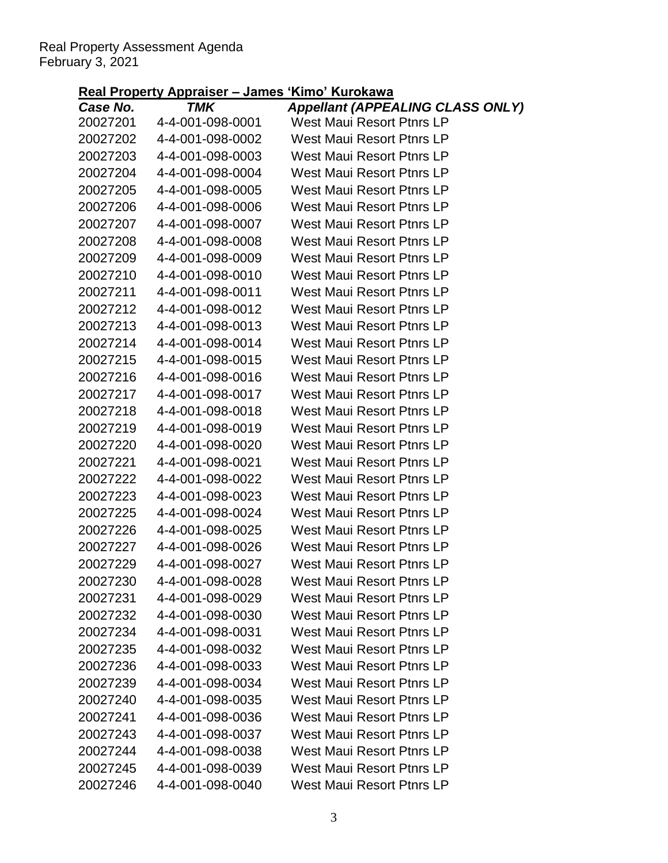|          | <u>ксан төрску дрргаюст – санко</u> | INIIIV INIIVINIIV                       |
|----------|-------------------------------------|-----------------------------------------|
| Case No. | TMK                                 | <b>Appellant (APPEALING CLASS ONLY)</b> |
| 20027201 | 4-4-001-098-0001                    | West Maui Resort Ptnrs LP               |
| 20027202 | 4-4-001-098-0002                    | West Maui Resort Ptnrs LP               |
| 20027203 | 4-4-001-098-0003                    | West Maui Resort Ptnrs LP               |
| 20027204 | 4-4-001-098-0004                    | West Maui Resort Ptnrs LP               |
| 20027205 | 4-4-001-098-0005                    | West Maui Resort Ptnrs LP               |
| 20027206 | 4-4-001-098-0006                    | West Maui Resort Ptnrs LP               |
| 20027207 | 4-4-001-098-0007                    | West Maui Resort Ptnrs LP               |
| 20027208 | 4-4-001-098-0008                    | West Maui Resort Ptnrs LP               |
| 20027209 | 4-4-001-098-0009                    | West Maui Resort Ptnrs LP               |
| 20027210 | 4-4-001-098-0010                    | West Maui Resort Ptnrs LP               |
| 20027211 | 4-4-001-098-0011                    | West Maui Resort Ptnrs LP               |
| 20027212 | 4-4-001-098-0012                    | West Maui Resort Ptnrs LP               |
| 20027213 | 4-4-001-098-0013                    | West Maui Resort Ptnrs LP               |
| 20027214 | 4-4-001-098-0014                    | West Maui Resort Ptnrs LP               |
| 20027215 | 4-4-001-098-0015                    | West Maui Resort Ptnrs LP               |
| 20027216 | 4-4-001-098-0016                    | West Maui Resort Ptnrs LP               |
| 20027217 | 4-4-001-098-0017                    | West Maui Resort Ptnrs LP               |
| 20027218 | 4-4-001-098-0018                    | West Maui Resort Ptnrs LP               |
| 20027219 | 4-4-001-098-0019                    | West Maui Resort Ptnrs LP               |
| 20027220 | 4-4-001-098-0020                    | West Maui Resort Ptnrs LP               |
| 20027221 | 4-4-001-098-0021                    | West Maui Resort Ptnrs LP               |
| 20027222 | 4-4-001-098-0022                    | West Maui Resort Ptnrs LP               |
| 20027223 | 4-4-001-098-0023                    | West Maui Resort Ptnrs LP               |
| 20027225 | 4-4-001-098-0024                    | West Maui Resort Ptnrs LP               |
| 20027226 | 4-4-001-098-0025                    | West Maui Resort Ptnrs LP               |
| 20027227 | 4-4-001-098-0026                    | <b>West Maui Resort Ptnrs LP</b>        |
| 20027229 | 4-4-001-098-0027                    | <b>West Maui Resort Ptnrs LP</b>        |
| 20027230 | 4-4-001-098-0028                    | West Maui Resort Ptnrs LP               |
| 20027231 | 4-4-001-098-0029                    | <b>West Maui Resort Ptnrs LP</b>        |
| 20027232 | 4-4-001-098-0030                    | <b>West Maui Resort Ptnrs LP</b>        |
| 20027234 | 4-4-001-098-0031                    | <b>West Maui Resort Ptnrs LP</b>        |
| 20027235 | 4-4-001-098-0032                    | <b>West Maui Resort Ptnrs LP</b>        |
| 20027236 | 4-4-001-098-0033                    | <b>West Maui Resort Ptnrs LP</b>        |
| 20027239 | 4-4-001-098-0034                    | <b>West Maui Resort Ptnrs LP</b>        |
| 20027240 | 4-4-001-098-0035                    | <b>West Maui Resort Ptnrs LP</b>        |
| 20027241 | 4-4-001-098-0036                    | <b>West Maui Resort Ptnrs LP</b>        |
| 20027243 | 4-4-001-098-0037                    | <b>West Maui Resort Ptnrs LP</b>        |
| 20027244 | 4-4-001-098-0038                    | <b>West Maui Resort Ptnrs LP</b>        |
| 20027245 | 4-4-001-098-0039                    | <b>West Maui Resort Ptnrs LP</b>        |
| 20027246 | 4-4-001-098-0040                    | West Maui Resort Ptnrs LP               |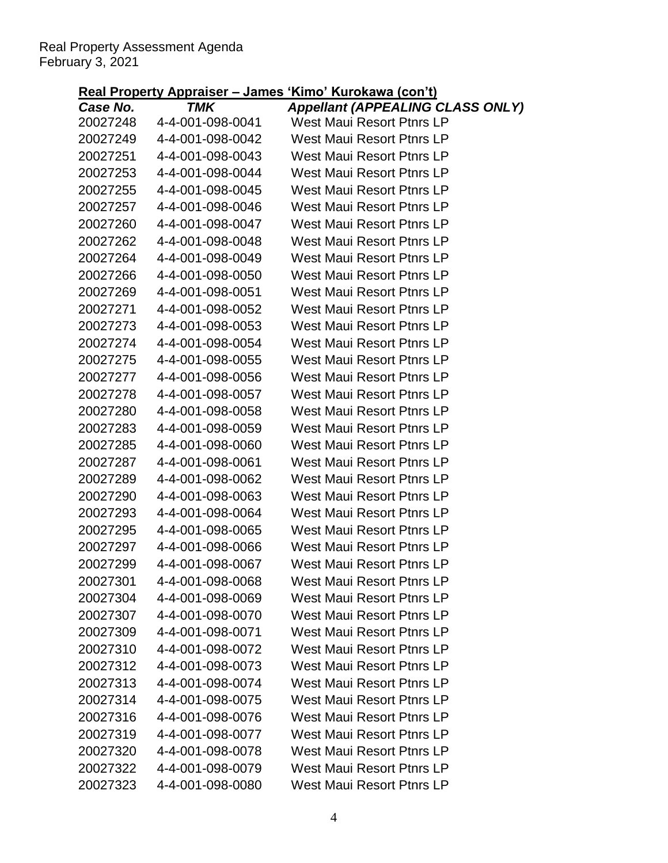|          | <u>ксан төрску дрргавст – cance</u> | <u>ו וועטן וועמוס ומענד שווורו</u>      |
|----------|-------------------------------------|-----------------------------------------|
| Case No. | TMK                                 | <b>Appellant (APPEALING CLASS ONLY)</b> |
| 20027248 | 4-4-001-098-0041                    | West Maui Resort Ptnrs LP               |
| 20027249 | 4-4-001-098-0042                    | West Maui Resort Ptnrs LP               |
| 20027251 | 4-4-001-098-0043                    | West Maui Resort Ptnrs LP               |
| 20027253 | 4-4-001-098-0044                    | <b>West Maui Resort Ptnrs LP</b>        |
| 20027255 | 4-4-001-098-0045                    | <b>West Maui Resort Ptnrs LP</b>        |
| 20027257 | 4-4-001-098-0046                    | West Maui Resort Ptnrs LP               |
| 20027260 | 4-4-001-098-0047                    | West Maui Resort Ptnrs LP               |
| 20027262 | 4-4-001-098-0048                    | <b>West Maui Resort Ptnrs LP</b>        |
| 20027264 | 4-4-001-098-0049                    | West Maui Resort Ptnrs LP               |
| 20027266 | 4-4-001-098-0050                    | West Maui Resort Ptnrs LP               |
| 20027269 | 4-4-001-098-0051                    | <b>West Maui Resort Ptnrs LP</b>        |
| 20027271 | 4-4-001-098-0052                    | West Maui Resort Ptnrs LP               |
| 20027273 | 4-4-001-098-0053                    | West Maui Resort Ptnrs LP               |
| 20027274 | 4-4-001-098-0054                    | <b>West Maui Resort Ptnrs LP</b>        |
| 20027275 | 4-4-001-098-0055                    | <b>West Maui Resort Ptnrs LP</b>        |
| 20027277 | 4-4-001-098-0056                    | West Maui Resort Ptnrs LP               |
| 20027278 | 4-4-001-098-0057                    | West Maui Resort Ptnrs LP               |
| 20027280 | 4-4-001-098-0058                    | <b>West Maui Resort Ptnrs LP</b>        |
| 20027283 | 4-4-001-098-0059                    | West Maui Resort Ptnrs LP               |
| 20027285 | 4-4-001-098-0060                    | West Maui Resort Ptnrs LP               |
| 20027287 | 4-4-001-098-0061                    | <b>West Maui Resort Ptnrs LP</b>        |
| 20027289 | 4-4-001-098-0062                    | West Maui Resort Ptnrs LP               |
| 20027290 | 4-4-001-098-0063                    | West Maui Resort Ptnrs LP               |
| 20027293 | 4-4-001-098-0064                    | <b>West Maui Resort Ptnrs LP</b>        |
| 20027295 | 4-4-001-098-0065                    | <b>West Maui Resort Ptnrs LP</b>        |
| 20027297 | 4-4-001-098-0066                    | West Maui Resort Ptnrs LP               |
| 20027299 | 4-4-001-098-0067                    | <b>West Maui Resort Ptnrs LP</b>        |
| 20027301 | 4-4-001-098-0068                    | West Maui Resort Ptnrs LP               |
| 20027304 | 4-4-001-098-0069                    | <b>West Maui Resort Ptnrs LP</b>        |
| 20027307 | 4-4-001-098-0070                    | <b>West Maui Resort Ptnrs LP</b>        |
| 20027309 | 4-4-001-098-0071                    | <b>West Maui Resort Ptnrs LP</b>        |
| 20027310 | 4-4-001-098-0072                    | West Maui Resort Ptnrs LP               |
| 20027312 | 4-4-001-098-0073                    | <b>West Maui Resort Ptnrs LP</b>        |
| 20027313 | 4-4-001-098-0074                    | <b>West Maui Resort Ptnrs LP</b>        |
| 20027314 | 4-4-001-098-0075                    | West Maui Resort Ptnrs LP               |
| 20027316 | 4-4-001-098-0076                    | West Maui Resort Ptnrs LP               |
| 20027319 | 4-4-001-098-0077                    | <b>West Maui Resort Ptnrs LP</b>        |
| 20027320 | 4-4-001-098-0078                    | <b>West Maui Resort Ptnrs LP</b>        |
| 20027322 | 4-4-001-098-0079                    | <b>West Maui Resort Ptnrs LP</b>        |
| 20027323 | 4-4-001-098-0080                    | West Maui Resort Ptnrs LP               |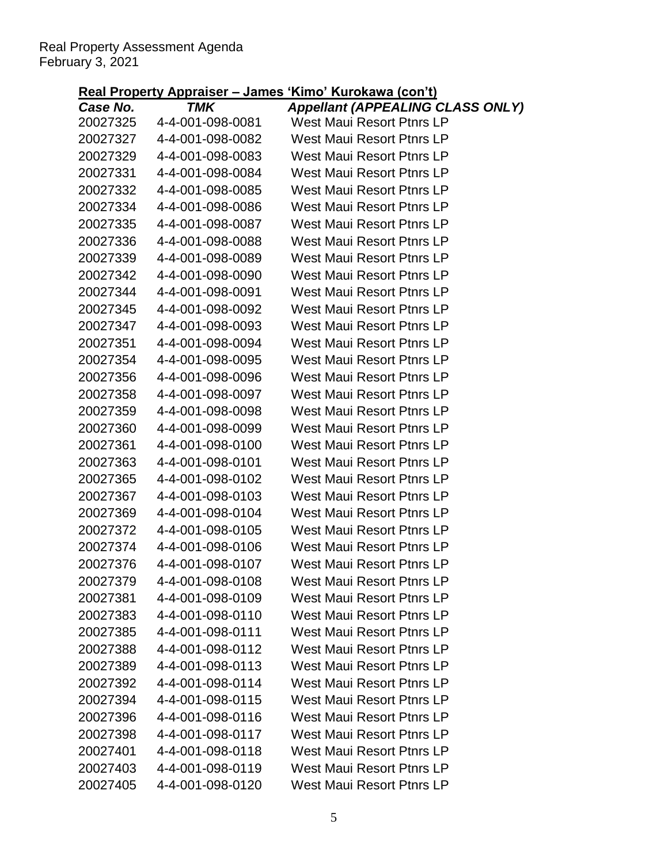|          |                  | <u>Ku Hoputy Applaisu Vallius Rillio Rafokawa (boll ti</u>                  |
|----------|------------------|-----------------------------------------------------------------------------|
| Case No. | TMK              | <b>Appellant (APPEALING CLASS ONLY)</b><br><b>West Maui Resort Ptnrs LP</b> |
| 20027325 | 4-4-001-098-0081 | <b>West Maui Resort Ptnrs LP</b>                                            |
| 20027327 | 4-4-001-098-0082 |                                                                             |
| 20027329 | 4-4-001-098-0083 | West Maui Resort Ptnrs LP                                                   |
| 20027331 | 4-4-001-098-0084 | <b>West Maui Resort Ptnrs LP</b>                                            |
| 20027332 | 4-4-001-098-0085 | West Maui Resort Ptnrs LP                                                   |
| 20027334 | 4-4-001-098-0086 | West Maui Resort Ptnrs LP                                                   |
| 20027335 | 4-4-001-098-0087 | West Maui Resort Ptnrs LP                                                   |
| 20027336 | 4-4-001-098-0088 | <b>West Maui Resort Ptnrs LP</b>                                            |
| 20027339 | 4-4-001-098-0089 | West Maui Resort Ptnrs LP                                                   |
| 20027342 | 4-4-001-098-0090 | West Maui Resort Ptnrs LP                                                   |
| 20027344 | 4-4-001-098-0091 | <b>West Maui Resort Ptnrs LP</b>                                            |
| 20027345 | 4-4-001-098-0092 | West Maui Resort Ptnrs LP                                                   |
| 20027347 | 4-4-001-098-0093 | West Maui Resort Ptnrs LP                                                   |
| 20027351 | 4-4-001-098-0094 | West Maui Resort Ptnrs LP                                                   |
| 20027354 | 4-4-001-098-0095 | <b>West Maui Resort Ptnrs LP</b>                                            |
| 20027356 | 4-4-001-098-0096 | West Maui Resort Ptnrs LP                                                   |
| 20027358 | 4-4-001-098-0097 | West Maui Resort Ptnrs LP                                                   |
| 20027359 | 4-4-001-098-0098 | <b>West Maui Resort Ptnrs LP</b>                                            |
| 20027360 | 4-4-001-098-0099 | West Maui Resort Ptnrs LP                                                   |
| 20027361 | 4-4-001-098-0100 | West Maui Resort Ptnrs LP                                                   |
| 20027363 | 4-4-001-098-0101 | <b>West Maui Resort Ptnrs LP</b>                                            |
| 20027365 | 4-4-001-098-0102 | <b>West Maui Resort Ptnrs LP</b>                                            |
| 20027367 | 4-4-001-098-0103 | West Maui Resort Ptnrs LP                                                   |
| 20027369 | 4-4-001-098-0104 | <b>West Maui Resort Ptnrs LP</b>                                            |
| 20027372 | 4-4-001-098-0105 | <b>West Maui Resort Ptnrs LP</b>                                            |
| 20027374 | 4-4-001-098-0106 | West Maui Resort Ptnrs LP                                                   |
| 20027376 | 4-4-001-098-0107 | <b>West Maui Resort Ptnrs LP</b>                                            |
| 20027379 | 4-4-001-098-0108 | West Maui Resort Ptnrs LP                                                   |
| 20027381 | 4-4-001-098-0109 | West Maui Resort Ptnrs LP                                                   |
| 20027383 | 4-4-001-098-0110 | West Maui Resort Ptnrs LP                                                   |
| 20027385 | 4-4-001-098-0111 | <b>West Maui Resort Ptnrs LP</b>                                            |
| 20027388 | 4-4-001-098-0112 | West Maui Resort Ptnrs LP                                                   |
| 20027389 | 4-4-001-098-0113 | West Maui Resort Ptnrs LP                                                   |
| 20027392 | 4-4-001-098-0114 | West Maui Resort Ptnrs LP                                                   |
| 20027394 | 4-4-001-098-0115 | West Maui Resort Ptnrs LP                                                   |
| 20027396 | 4-4-001-098-0116 | <b>West Maui Resort Ptnrs LP</b>                                            |
| 20027398 | 4-4-001-098-0117 | West Maui Resort Ptnrs LP                                                   |
| 20027401 | 4-4-001-098-0118 | West Maui Resort Ptnrs LP                                                   |
| 20027403 | 4-4-001-098-0119 | <b>West Maui Resort Ptnrs LP</b>                                            |
| 20027405 | 4-4-001-098-0120 | <b>West Maui Resort Ptnrs LP</b>                                            |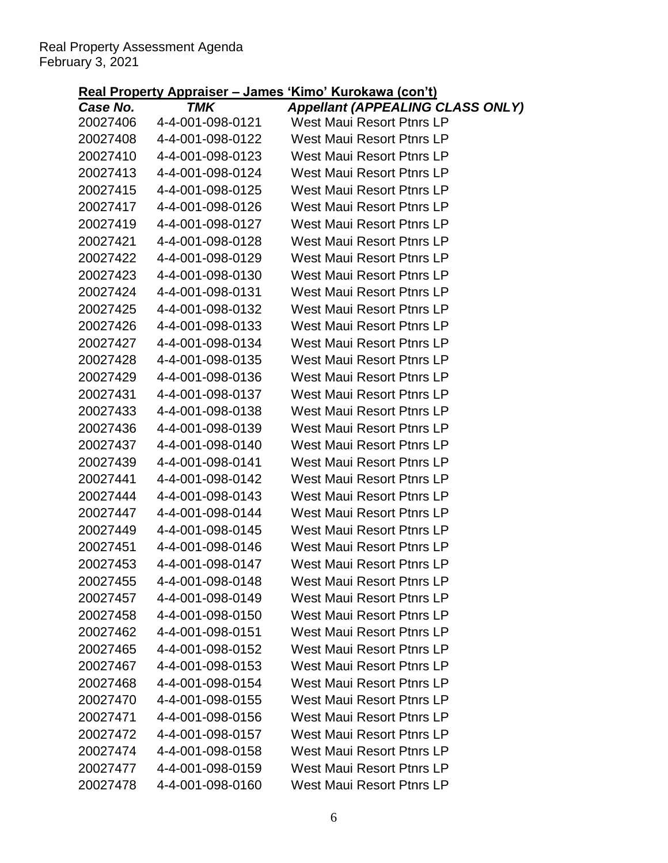|                      | <u>Kearl Toperty Appraiser – James</u> | <u>KIIID KUIUKAWA (COILI)</u>                                        |
|----------------------|----------------------------------------|----------------------------------------------------------------------|
| Case No.<br>20027406 | <b>TMK</b><br>4-4-001-098-0121         | <b>Appellant (APPEALING CLASS ONLY)</b><br>West Maui Resort Ptnrs LP |
| 20027408             | 4-4-001-098-0122                       | West Maui Resort Ptnrs LP                                            |
| 20027410             | 4-4-001-098-0123                       | West Maui Resort Ptnrs LP                                            |
| 20027413             | 4-4-001-098-0124                       | West Maui Resort Ptnrs LP                                            |
| 20027415             | 4-4-001-098-0125                       | West Maui Resort Ptnrs LP                                            |
| 20027417             | 4-4-001-098-0126                       | West Maui Resort Ptnrs LP                                            |
| 20027419             | 4-4-001-098-0127                       | West Maui Resort Ptnrs LP                                            |
| 20027421             | 4-4-001-098-0128                       | West Maui Resort Ptnrs LP                                            |
| 20027422             | 4-4-001-098-0129                       | West Maui Resort Ptnrs LP                                            |
| 20027423             | 4-4-001-098-0130                       | West Maui Resort Ptnrs LP                                            |
| 20027424             | 4-4-001-098-0131                       | West Maui Resort Ptnrs LP                                            |
| 20027425             | 4-4-001-098-0132                       | West Maui Resort Ptnrs LP                                            |
| 20027426             | 4-4-001-098-0133                       | West Maui Resort Ptnrs LP                                            |
| 20027427             | 4-4-001-098-0134                       | West Maui Resort Ptnrs LP                                            |
| 20027428             | 4-4-001-098-0135                       | West Maui Resort Ptnrs LP                                            |
| 20027429             | 4-4-001-098-0136                       | West Maui Resort Ptnrs LP                                            |
| 20027431             | 4-4-001-098-0137                       | West Maui Resort Ptnrs LP                                            |
| 20027433             | 4-4-001-098-0138                       | <b>West Maui Resort Ptnrs LP</b>                                     |
| 20027436             | 4-4-001-098-0139                       | West Maui Resort Ptnrs LP                                            |
| 20027437             | 4-4-001-098-0140                       | West Maui Resort Ptnrs LP                                            |
| 20027439             | 4-4-001-098-0141                       | West Maui Resort Ptnrs LP                                            |
| 20027441             | 4-4-001-098-0142                       | West Maui Resort Ptnrs LP                                            |
| 20027444             | 4-4-001-098-0143                       | West Maui Resort Ptnrs LP                                            |
| 20027447             | 4-4-001-098-0144                       | West Maui Resort Ptnrs LP                                            |
| 20027449             | 4-4-001-098-0145                       | West Maui Resort Ptnrs LP                                            |
| 20027451             | 4-4-001-098-0146                       | West Maui Resort Ptnrs LP                                            |
| 20027453             | 4-4-001-098-0147                       | <b>West Maui Resort Ptnrs LP</b>                                     |
| 20027455             | 4-4-001-098-0148                       | <b>West Maui Resort Ptnrs LP</b>                                     |
| 20027457             | 4-4-001-098-0149                       | West Maui Resort Ptnrs LP                                            |
| 20027458             | 4-4-001-098-0150                       | West Maui Resort Ptnrs LP                                            |
| 20027462             | 4-4-001-098-0151                       | West Maui Resort Ptnrs LP                                            |
| 20027465             | 4-4-001-098-0152                       | <b>West Maui Resort Ptnrs LP</b>                                     |
| 20027467             | 4-4-001-098-0153                       | <b>West Maui Resort Ptnrs LP</b>                                     |
| 20027468             | 4-4-001-098-0154                       | West Maui Resort Ptnrs LP                                            |
| 20027470             | 4-4-001-098-0155                       | <b>West Maui Resort Ptnrs LP</b>                                     |
| 20027471             | 4-4-001-098-0156                       | <b>West Maui Resort Ptnrs LP</b>                                     |
| 20027472             | 4-4-001-098-0157                       | West Maui Resort Ptnrs LP                                            |
| 20027474             | 4-4-001-098-0158                       | West Maui Resort Ptnrs LP                                            |
| 20027477             | 4-4-001-098-0159                       | <b>West Maui Resort Ptnrs LP</b>                                     |
| 20027478             | 4-4-001-098-0160                       | West Maui Resort Ptnrs LP                                            |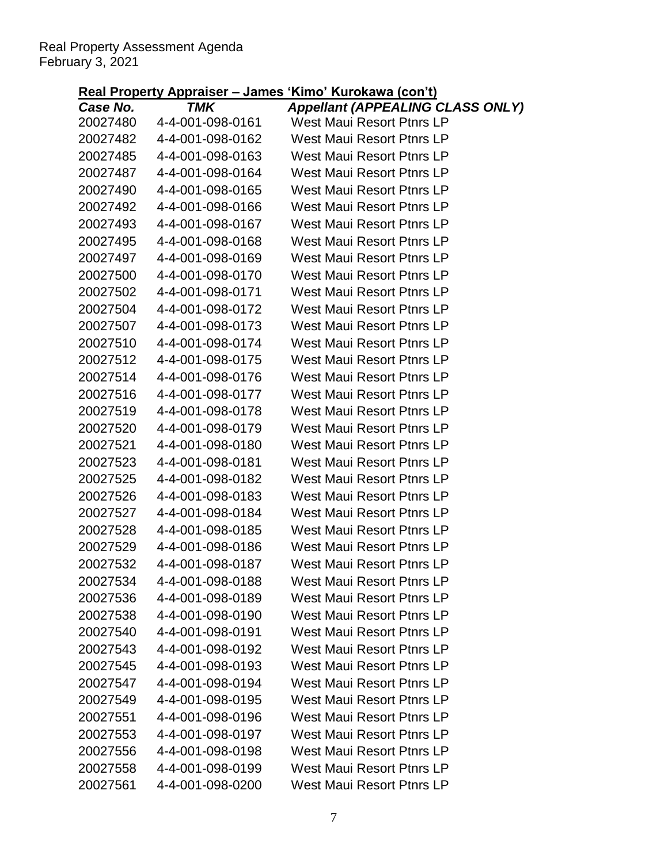|                      |                         | $\frac{1}{2}$ The Teperty Appraiser – James Kinno Kurokawa (COITT)   |
|----------------------|-------------------------|----------------------------------------------------------------------|
| Case No.<br>20027480 | TMK<br>4-4-001-098-0161 | <b>Appellant (APPEALING CLASS ONLY)</b><br>West Maui Resort Ptnrs LP |
| 20027482             | 4-4-001-098-0162        | <b>West Maui Resort Ptnrs LP</b>                                     |
| 20027485             | 4-4-001-098-0163        | West Maui Resort Ptnrs LP                                            |
| 20027487             | 4-4-001-098-0164        | West Maui Resort Ptnrs LP                                            |
| 20027490             | 4-4-001-098-0165        | West Maui Resort Ptnrs LP                                            |
| 20027492             | 4-4-001-098-0166        | <b>West Maui Resort Ptnrs LP</b>                                     |
| 20027493             | 4-4-001-098-0167        | West Maui Resort Ptnrs LP                                            |
| 20027495             | 4-4-001-098-0168        | <b>West Maui Resort Ptnrs LP</b>                                     |
| 20027497             | 4-4-001-098-0169        | West Maui Resort Ptnrs LP                                            |
| 20027500             | 4-4-001-098-0170        | West Maui Resort Ptnrs LP                                            |
| 20027502             | 4-4-001-098-0171        | West Maui Resort Ptnrs LP                                            |
| 20027504             | 4-4-001-098-0172        | West Maui Resort Ptnrs LP                                            |
| 20027507             | 4-4-001-098-0173        | <b>West Maui Resort Ptnrs LP</b>                                     |
| 20027510             | 4-4-001-098-0174        | West Maui Resort Ptnrs LP                                            |
| 20027512             | 4-4-001-098-0175        | West Maui Resort Ptnrs LP                                            |
| 20027514             | 4-4-001-098-0176        | West Maui Resort Ptnrs LP                                            |
| 20027516             | 4-4-001-098-0177        | West Maui Resort Ptnrs LP                                            |
| 20027519             | 4-4-001-098-0178        | <b>West Maui Resort Ptnrs LP</b>                                     |
| 20027520             | 4-4-001-098-0179        | West Maui Resort Ptnrs LP                                            |
| 20027521             | 4-4-001-098-0180        | West Maui Resort Ptnrs LP                                            |
| 20027523             | 4-4-001-098-0181        | West Maui Resort Ptnrs LP                                            |
| 20027525             | 4-4-001-098-0182        | West Maui Resort Ptnrs LP                                            |
| 20027526             | 4-4-001-098-0183        | West Maui Resort Ptnrs LP                                            |
| 20027527             | 4-4-001-098-0184        | West Maui Resort Ptnrs LP                                            |
| 20027528             | 4-4-001-098-0185        | <b>West Maui Resort Ptnrs LP</b>                                     |
| 20027529             | 4-4-001-098-0186        | <b>West Maui Resort Ptnrs LP</b>                                     |
| 20027532             | 4-4-001-098-0187        | <b>West Maui Resort Ptnrs LP</b>                                     |
| 20027534             | 4-4-001-098-0188        | <b>West Maui Resort Ptnrs LP</b>                                     |
| 20027536             | 4-4-001-098-0189        | <b>West Maui Resort Ptnrs LP</b>                                     |
| 20027538             | 4-4-001-098-0190        | <b>West Maui Resort Ptnrs LP</b>                                     |
| 20027540             | 4-4-001-098-0191        | <b>West Maui Resort Ptnrs LP</b>                                     |
| 20027543             | 4-4-001-098-0192        | <b>West Maui Resort Ptnrs LP</b>                                     |
| 20027545             | 4-4-001-098-0193        | West Maui Resort Ptnrs LP                                            |
| 20027547             | 4-4-001-098-0194        | <b>West Maui Resort Ptnrs LP</b>                                     |
| 20027549             | 4-4-001-098-0195        | <b>West Maui Resort Ptnrs LP</b>                                     |
| 20027551             | 4-4-001-098-0196        | <b>West Maui Resort Ptnrs LP</b>                                     |
| 20027553             | 4-4-001-098-0197        | West Maui Resort Ptnrs LP                                            |
| 20027556             | 4-4-001-098-0198        | <b>West Maui Resort Ptnrs LP</b>                                     |
| 20027558             | 4-4-001-098-0199        | <b>West Maui Resort Ptnrs LP</b>                                     |
| 20027561             | 4-4-001-098-0200        | <b>West Maui Resort Ptnrs LP</b>                                     |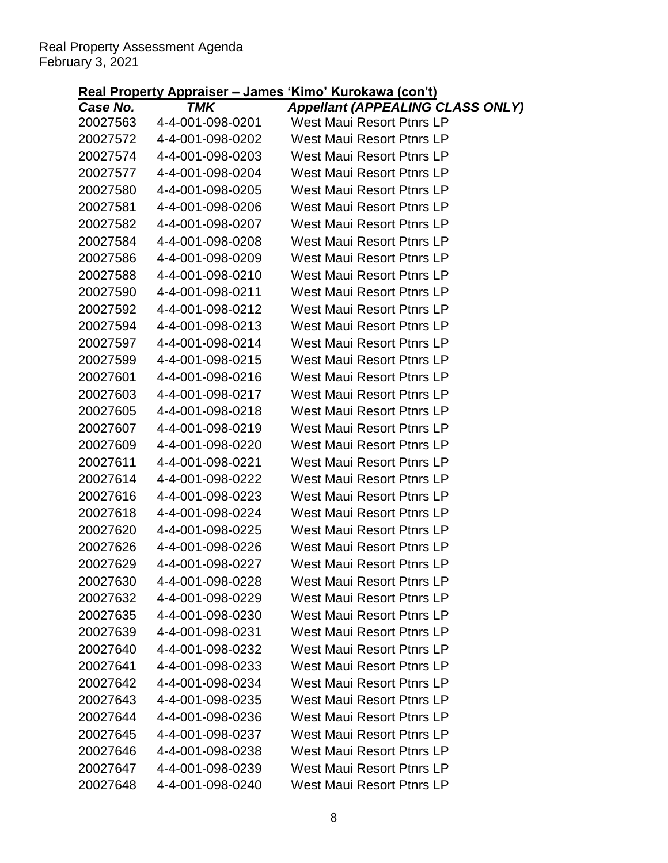|                      | $l$ is a report of $u$ is a reported to $u$ in $u$ | <u>KIND KULUNGWA (CUN LJ</u>                                         |
|----------------------|----------------------------------------------------|----------------------------------------------------------------------|
| Case No.<br>20027563 | TMK<br>4-4-001-098-0201                            | <b>Appellant (APPEALING CLASS ONLY)</b><br>West Maui Resort Ptnrs LP |
| 20027572             | 4-4-001-098-0202                                   | <b>West Maui Resort Ptnrs LP</b>                                     |
| 20027574             | 4-4-001-098-0203                                   | <b>West Maui Resort Ptnrs LP</b>                                     |
| 20027577             | 4-4-001-098-0204                                   | West Maui Resort Ptnrs LP                                            |
| 20027580             | 4-4-001-098-0205                                   | West Maui Resort Ptnrs LP                                            |
| 20027581             | 4-4-001-098-0206                                   | West Maui Resort Ptnrs LP                                            |
| 20027582             | 4-4-001-098-0207                                   | West Maui Resort Ptnrs LP                                            |
| 20027584             | 4-4-001-098-0208                                   | <b>West Maui Resort Ptnrs LP</b>                                     |
| 20027586             | 4-4-001-098-0209                                   | West Maui Resort Ptnrs LP                                            |
| 20027588             | 4-4-001-098-0210                                   | West Maui Resort Ptnrs LP                                            |
| 20027590             | 4-4-001-098-0211                                   | <b>West Maui Resort Ptnrs LP</b>                                     |
| 20027592             | 4-4-001-098-0212                                   | West Maui Resort Ptnrs LP                                            |
| 20027594             | 4-4-001-098-0213                                   | West Maui Resort Ptnrs LP                                            |
| 20027597             | 4-4-001-098-0214                                   | <b>West Maui Resort Ptnrs LP</b>                                     |
| 20027599             | 4-4-001-098-0215                                   | West Maui Resort Ptnrs LP                                            |
| 20027601             | 4-4-001-098-0216                                   | West Maui Resort Ptnrs LP                                            |
| 20027603             | 4-4-001-098-0217                                   | West Maui Resort Ptnrs LP                                            |
| 20027605             | 4-4-001-098-0218                                   | <b>West Maui Resort Ptnrs LP</b>                                     |
| 20027607             | 4-4-001-098-0219                                   | West Maui Resort Ptnrs LP                                            |
| 20027609             | 4-4-001-098-0220                                   | West Maui Resort Ptnrs LP                                            |
| 20027611             | 4-4-001-098-0221                                   | West Maui Resort Ptnrs LP                                            |
| 20027614             | 4-4-001-098-0222                                   | West Maui Resort Ptnrs LP                                            |
| 20027616             | 4-4-001-098-0223                                   | West Maui Resort Ptnrs LP                                            |
| 20027618             | 4-4-001-098-0224                                   | <b>West Maui Resort Ptnrs LP</b>                                     |
| 20027620             | 4-4-001-098-0225                                   | West Maui Resort Ptnrs LP                                            |
| 20027626             | 4-4-001-098-0226                                   | West Maui Resort Ptnrs LP                                            |
| 20027629             | 4-4-001-098-0227                                   | <b>West Maui Resort Ptnrs LP</b>                                     |
| 20027630             | 4-4-001-098-0228                                   | <b>West Maui Resort Ptnrs LP</b>                                     |
| 20027632             | 4-4-001-098-0229                                   | West Maui Resort Ptnrs LP                                            |
| 20027635             | 4-4-001-098-0230                                   | <b>West Maui Resort Ptnrs LP</b>                                     |
| 20027639             | 4-4-001-098-0231                                   | <b>West Maui Resort Ptnrs LP</b>                                     |
| 20027640             | 4-4-001-098-0232                                   | <b>West Maui Resort Ptnrs LP</b>                                     |
| 20027641             | 4-4-001-098-0233                                   | <b>West Maui Resort Ptnrs LP</b>                                     |
| 20027642             | 4-4-001-098-0234                                   | West Maui Resort Ptnrs LP                                            |
| 20027643             | 4-4-001-098-0235                                   | West Maui Resort Ptnrs LP                                            |
| 20027644             | 4-4-001-098-0236                                   | <b>West Maui Resort Ptnrs LP</b>                                     |
| 20027645             | 4-4-001-098-0237                                   | West Maui Resort Ptnrs LP                                            |
| 20027646             | 4-4-001-098-0238                                   | West Maui Resort Ptnrs LP                                            |
| 20027647             | 4-4-001-098-0239                                   | <b>West Maui Resort Ptnrs LP</b>                                     |
| 20027648             | 4-4-001-098-0240                                   | <b>West Maui Resort Ptnrs LP</b>                                     |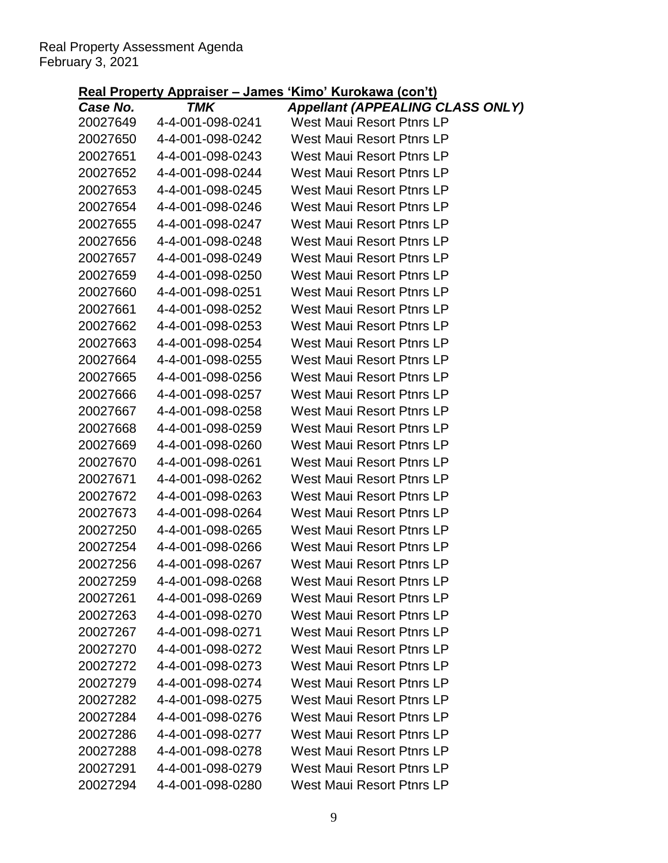|                      | <u> Kai Flopeny Applaiser – Janies</u> | <b>INIIIU INIUNAWA (GUILI)</b>                                       |
|----------------------|----------------------------------------|----------------------------------------------------------------------|
| Case No.<br>20027649 | TMK<br>4-4-001-098-0241                | <b>Appellant (APPEALING CLASS ONLY)</b><br>West Maui Resort Ptnrs LP |
| 20027650             | 4-4-001-098-0242                       | West Maui Resort Ptnrs LP                                            |
| 20027651             | 4-4-001-098-0243                       | West Maui Resort Ptnrs LP                                            |
| 20027652             | 4-4-001-098-0244                       | West Maui Resort Ptnrs LP                                            |
| 20027653             | 4-4-001-098-0245                       | West Maui Resort Ptnrs LP                                            |
| 20027654             | 4-4-001-098-0246                       | West Maui Resort Ptnrs LP                                            |
| 20027655             | 4-4-001-098-0247                       | West Maui Resort Ptnrs LP                                            |
| 20027656             | 4-4-001-098-0248                       | West Maui Resort Ptnrs LP                                            |
| 20027657             | 4-4-001-098-0249                       | West Maui Resort Ptnrs LP                                            |
| 20027659             | 4-4-001-098-0250                       | West Maui Resort Ptnrs LP                                            |
| 20027660             | 4-4-001-098-0251                       | West Maui Resort Ptnrs LP                                            |
| 20027661             | 4-4-001-098-0252                       | West Maui Resort Ptnrs LP                                            |
| 20027662             | 4-4-001-098-0253                       | <b>West Maui Resort Ptnrs LP</b>                                     |
| 20027663             | 4-4-001-098-0254                       | West Maui Resort Ptnrs LP                                            |
| 20027664             | 4-4-001-098-0255                       | <b>West Maui Resort Ptnrs LP</b>                                     |
| 20027665             | 4-4-001-098-0256                       | West Maui Resort Ptnrs LP                                            |
| 20027666             | 4-4-001-098-0257                       | West Maui Resort Ptnrs LP                                            |
| 20027667             | 4-4-001-098-0258                       | West Maui Resort Ptnrs LP                                            |
| 20027668             | 4-4-001-098-0259                       | West Maui Resort Ptnrs LP                                            |
| 20027669             | 4-4-001-098-0260                       | <b>West Maui Resort Ptnrs LP</b>                                     |
| 20027670             | 4-4-001-098-0261                       | West Maui Resort Ptnrs LP                                            |
| 20027671             | 4-4-001-098-0262                       | West Maui Resort Ptnrs LP                                            |
| 20027672             | 4-4-001-098-0263                       | West Maui Resort Ptnrs LP                                            |
| 20027673             | 4-4-001-098-0264                       | West Maui Resort Ptnrs LP                                            |
| 20027250             | 4-4-001-098-0265                       | <b>West Maui Resort Ptnrs LP</b>                                     |
| 20027254             | 4-4-001-098-0266                       | West Maui Resort Ptnrs LP                                            |
| 20027256             | 4-4-001-098-0267                       | West Maui Resort Ptnrs LP                                            |
| 20027259             | 4-4-001-098-0268                       | <b>West Maui Resort Ptnrs LP</b>                                     |
| 20027261             | 4-4-001-098-0269                       | <b>West Maui Resort Ptnrs LP</b>                                     |
| 20027263             | 4-4-001-098-0270                       | <b>West Maui Resort Ptnrs LP</b>                                     |
| 20027267             | 4-4-001-098-0271                       | <b>West Maui Resort Ptnrs LP</b>                                     |
| 20027270             | 4-4-001-098-0272                       | <b>West Maui Resort Ptnrs LP</b>                                     |
| 20027272             | 4-4-001-098-0273                       | <b>West Maui Resort Ptnrs LP</b>                                     |
| 20027279             | 4-4-001-098-0274                       | West Maui Resort Ptnrs LP                                            |
| 20027282             | 4-4-001-098-0275                       | <b>West Maui Resort Ptnrs LP</b>                                     |
| 20027284             | 4-4-001-098-0276                       | <b>West Maui Resort Ptnrs LP</b>                                     |
| 20027286             | 4-4-001-098-0277                       | <b>West Maui Resort Ptnrs LP</b>                                     |
| 20027288             | 4-4-001-098-0278                       | <b>West Maui Resort Ptnrs LP</b>                                     |
| 20027291             | 4-4-001-098-0279                       | <b>West Maui Resort Ptnrs LP</b>                                     |
| 20027294             | 4-4-001-098-0280                       | West Maui Resort Ptnrs LP                                            |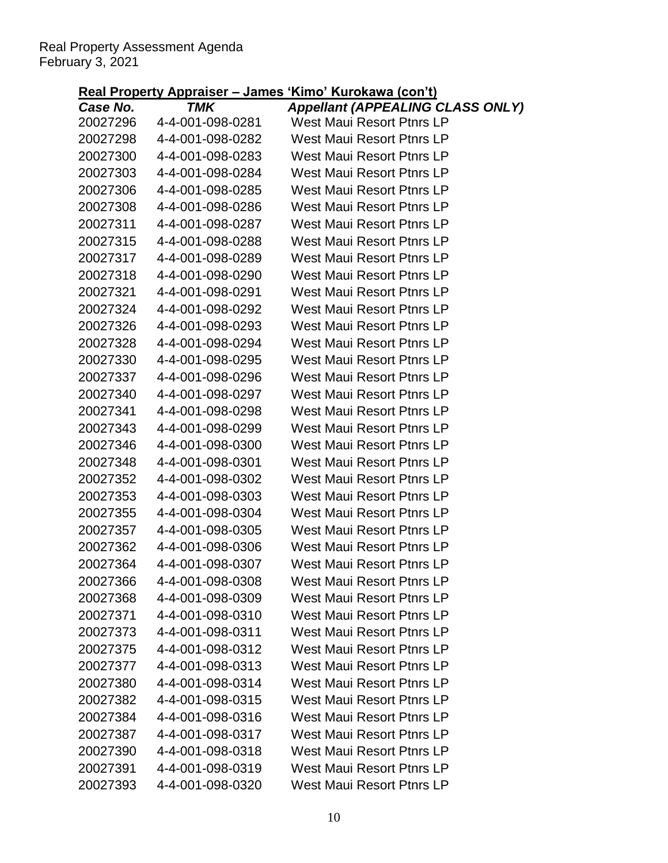|                      | $l$ is a report of $u$ $\sim$ $u$ $\sim$ $u$ $\sim$ $u$ $\sim$ $u$ $\sim$ $u$ $\sim$ $u$ $\sim$ $u$ $\sim$ $u$ $\sim$ $u$ $\sim$ $u$ $\sim$ $u$ $\sim$ $u$ $\sim$ $u$ $\sim$ $u$ $\sim$ $u$ $\sim$ $u$ $\sim$ $u$ $\sim$ $u$ $\sim$ $u$ $\sim$ $u$ $\sim$ $u$ $\sim$ | <u>KIND KULUNGWA (CUN LJ</u>                                         |
|----------------------|----------------------------------------------------------------------------------------------------------------------------------------------------------------------------------------------------------------------------------------------------------------------|----------------------------------------------------------------------|
| Case No.<br>20027296 | TMK<br>4-4-001-098-0281                                                                                                                                                                                                                                              | <b>Appellant (APPEALING CLASS ONLY)</b><br>West Maui Resort Ptnrs LP |
| 20027298             | 4-4-001-098-0282                                                                                                                                                                                                                                                     | <b>West Maui Resort Ptnrs LP</b>                                     |
| 20027300             | 4-4-001-098-0283                                                                                                                                                                                                                                                     | <b>West Maui Resort Ptnrs LP</b>                                     |
| 20027303             | 4-4-001-098-0284                                                                                                                                                                                                                                                     | <b>West Maui Resort Ptnrs LP</b>                                     |
| 20027306             | 4-4-001-098-0285                                                                                                                                                                                                                                                     | West Maui Resort Ptnrs LP                                            |
| 20027308             | 4-4-001-098-0286                                                                                                                                                                                                                                                     | West Maui Resort Ptnrs LP                                            |
| 20027311             | 4-4-001-098-0287                                                                                                                                                                                                                                                     | West Maui Resort Ptnrs LP                                            |
| 20027315             | 4-4-001-098-0288                                                                                                                                                                                                                                                     | <b>West Maui Resort Ptnrs LP</b>                                     |
| 20027317             | 4-4-001-098-0289                                                                                                                                                                                                                                                     | West Maui Resort Ptnrs LP                                            |
| 20027318             | 4-4-001-098-0290                                                                                                                                                                                                                                                     | West Maui Resort Ptnrs LP                                            |
| 20027321             | 4-4-001-098-0291                                                                                                                                                                                                                                                     | <b>West Maui Resort Ptnrs LP</b>                                     |
| 20027324             | 4-4-001-098-0292                                                                                                                                                                                                                                                     | West Maui Resort Ptnrs LP                                            |
| 20027326             | 4-4-001-098-0293                                                                                                                                                                                                                                                     | West Maui Resort Ptnrs LP                                            |
| 20027328             | 4-4-001-098-0294                                                                                                                                                                                                                                                     | West Maui Resort Ptnrs LP                                            |
| 20027330             | 4-4-001-098-0295                                                                                                                                                                                                                                                     | West Maui Resort Ptnrs LP                                            |
| 20027337             | 4-4-001-098-0296                                                                                                                                                                                                                                                     | West Maui Resort Ptnrs LP                                            |
| 20027340             | 4-4-001-098-0297                                                                                                                                                                                                                                                     | West Maui Resort Ptnrs LP                                            |
| 20027341             | 4-4-001-098-0298                                                                                                                                                                                                                                                     | <b>West Maui Resort Ptnrs LP</b>                                     |
| 20027343             | 4-4-001-098-0299                                                                                                                                                                                                                                                     | West Maui Resort Ptnrs LP                                            |
| 20027346             | 4-4-001-098-0300                                                                                                                                                                                                                                                     | West Maui Resort Ptnrs LP                                            |
| 20027348             | 4-4-001-098-0301                                                                                                                                                                                                                                                     | <b>West Maui Resort Ptnrs LP</b>                                     |
| 20027352             | 4-4-001-098-0302                                                                                                                                                                                                                                                     | West Maui Resort Ptnrs LP                                            |
| 20027353             | 4-4-001-098-0303                                                                                                                                                                                                                                                     | <b>West Maui Resort Ptnrs LP</b>                                     |
| 20027355             | 4-4-001-098-0304                                                                                                                                                                                                                                                     | <b>West Maui Resort Ptnrs LP</b>                                     |
| 20027357             | 4-4-001-098-0305                                                                                                                                                                                                                                                     | West Maui Resort Ptnrs LP                                            |
| 20027362             | 4-4-001-098-0306                                                                                                                                                                                                                                                     | West Maui Resort Ptnrs LP                                            |
| 20027364             | 4-4-001-098-0307                                                                                                                                                                                                                                                     | <b>West Maui Resort Ptnrs LP</b>                                     |
| 20027366             | 4-4-001-098-0308                                                                                                                                                                                                                                                     | <b>West Maui Resort Ptnrs LP</b>                                     |
| 20027368             | 4-4-001-098-0309                                                                                                                                                                                                                                                     | <b>West Maui Resort Ptnrs LP</b>                                     |
| 20027371             | 4-4-001-098-0310                                                                                                                                                                                                                                                     | <b>West Maui Resort Ptnrs LP</b>                                     |
| 20027373             | 4-4-001-098-0311                                                                                                                                                                                                                                                     | <b>West Maui Resort Ptnrs LP</b>                                     |
| 20027375             | 4-4-001-098-0312                                                                                                                                                                                                                                                     | <b>West Maui Resort Ptnrs LP</b>                                     |
| 20027377             | 4-4-001-098-0313                                                                                                                                                                                                                                                     | <b>West Maui Resort Ptnrs LP</b>                                     |
| 20027380             | 4-4-001-098-0314                                                                                                                                                                                                                                                     | West Maui Resort Ptnrs LP                                            |
| 20027382             | 4-4-001-098-0315                                                                                                                                                                                                                                                     | <b>West Maui Resort Ptnrs LP</b>                                     |
| 20027384             | 4-4-001-098-0316                                                                                                                                                                                                                                                     | <b>West Maui Resort Ptnrs LP</b>                                     |
| 20027387             | 4-4-001-098-0317                                                                                                                                                                                                                                                     | West Maui Resort Ptnrs LP                                            |
| 20027390             | 4-4-001-098-0318                                                                                                                                                                                                                                                     | West Maui Resort Ptnrs LP                                            |
| 20027391             | 4-4-001-098-0319                                                                                                                                                                                                                                                     | <b>West Maui Resort Ptnrs LP</b>                                     |
| 20027393             | 4-4-001-098-0320                                                                                                                                                                                                                                                     | <b>West Maui Resort Ptnrs LP</b>                                     |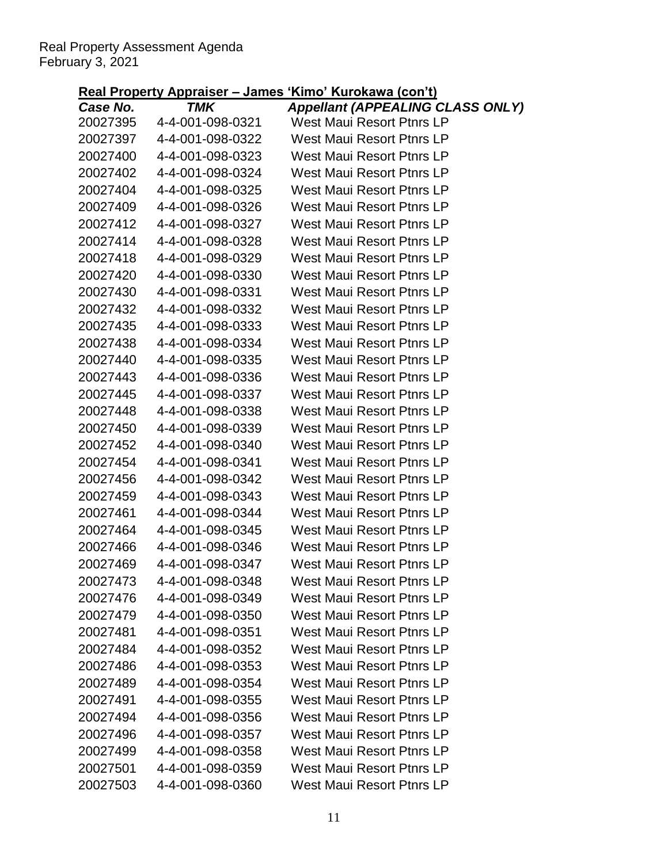|                      |                                      | <u> Kai Flopeny Applaiser – James Kimo Kulokawa (Con I)</u>                 |
|----------------------|--------------------------------------|-----------------------------------------------------------------------------|
| Case No.             | TMK<br>4-4-001-098-0321              | <b>Appellant (APPEALING CLASS ONLY)</b><br><b>West Maui Resort Ptnrs LP</b> |
| 20027395<br>20027397 | 4-4-001-098-0322                     | West Maui Resort Ptnrs LP                                                   |
| 20027400             | 4-4-001-098-0323                     | West Maui Resort Ptnrs LP                                                   |
| 20027402             | 4-4-001-098-0324                     | West Maui Resort Ptnrs LP                                                   |
| 20027404             | 4-4-001-098-0325                     | West Maui Resort Ptnrs LP                                                   |
| 20027409             |                                      | West Maui Resort Ptnrs LP                                                   |
| 20027412             | 4-4-001-098-0326<br>4-4-001-098-0327 | West Maui Resort Ptnrs LP                                                   |
| 20027414             | 4-4-001-098-0328                     | West Maui Resort Ptnrs LP                                                   |
| 20027418             | 4-4-001-098-0329                     | West Maui Resort Ptnrs LP                                                   |
| 20027420             | 4-4-001-098-0330                     | West Maui Resort Ptnrs LP                                                   |
| 20027430             | 4-4-001-098-0331                     | West Maui Resort Ptnrs LP                                                   |
| 20027432             | 4-4-001-098-0332                     | West Maui Resort Ptnrs LP                                                   |
| 20027435             | 4-4-001-098-0333                     | West Maui Resort Ptnrs LP                                                   |
| 20027438             | 4-4-001-098-0334                     | West Maui Resort Ptnrs LP                                                   |
| 20027440             | 4-4-001-098-0335                     | West Maui Resort Ptnrs LP                                                   |
| 20027443             | 4-4-001-098-0336                     | West Maui Resort Ptnrs LP                                                   |
| 20027445             | 4-4-001-098-0337                     | West Maui Resort Ptnrs LP                                                   |
| 20027448             | 4-4-001-098-0338                     | West Maui Resort Ptnrs LP                                                   |
| 20027450             | 4-4-001-098-0339                     | West Maui Resort Ptnrs LP                                                   |
| 20027452             | 4-4-001-098-0340                     | West Maui Resort Ptnrs LP                                                   |
| 20027454             | 4-4-001-098-0341                     | West Maui Resort Ptnrs LP                                                   |
| 20027456             | 4-4-001-098-0342                     | West Maui Resort Ptnrs LP                                                   |
| 20027459             | 4-4-001-098-0343                     | West Maui Resort Ptnrs LP                                                   |
| 20027461             | 4-4-001-098-0344                     | West Maui Resort Ptnrs LP                                                   |
| 20027464             | 4-4-001-098-0345                     | West Maui Resort Ptnrs LP                                                   |
| 20027466             | 4-4-001-098-0346                     | West Maui Resort Ptnrs LP                                                   |
| 20027469             | 4-4-001-098-0347                     | <b>West Maui Resort Ptnrs LP</b>                                            |
| 20027473             | 4-4-001-098-0348                     | <b>West Maui Resort Ptnrs LP</b>                                            |
| 20027476             | 4-4-001-098-0349                     | <b>West Maui Resort Ptnrs LP</b>                                            |
| 20027479             | 4-4-001-098-0350                     | West Maui Resort Ptnrs LP                                                   |
| 20027481             | 4-4-001-098-0351                     | <b>West Maui Resort Ptnrs LP</b>                                            |
| 20027484             | 4-4-001-098-0352                     | <b>West Maui Resort Ptnrs LP</b>                                            |
| 20027486             | 4-4-001-098-0353                     | <b>West Maui Resort Ptnrs LP</b>                                            |
| 20027489             | 4-4-001-098-0354                     | West Maui Resort Ptnrs LP                                                   |
| 20027491             | 4-4-001-098-0355                     | <b>West Maui Resort Ptnrs LP</b>                                            |
| 20027494             | 4-4-001-098-0356                     | <b>West Maui Resort Ptnrs LP</b>                                            |
| 20027496             | 4-4-001-098-0357                     | <b>West Maui Resort Ptnrs LP</b>                                            |
| 20027499             | 4-4-001-098-0358                     | West Maui Resort Ptnrs LP                                                   |
| 20027501             | 4-4-001-098-0359                     | <b>West Maui Resort Ptnrs LP</b>                                            |
| 20027503             | 4-4-001-098-0360                     | West Maui Resort Ptnrs LP                                                   |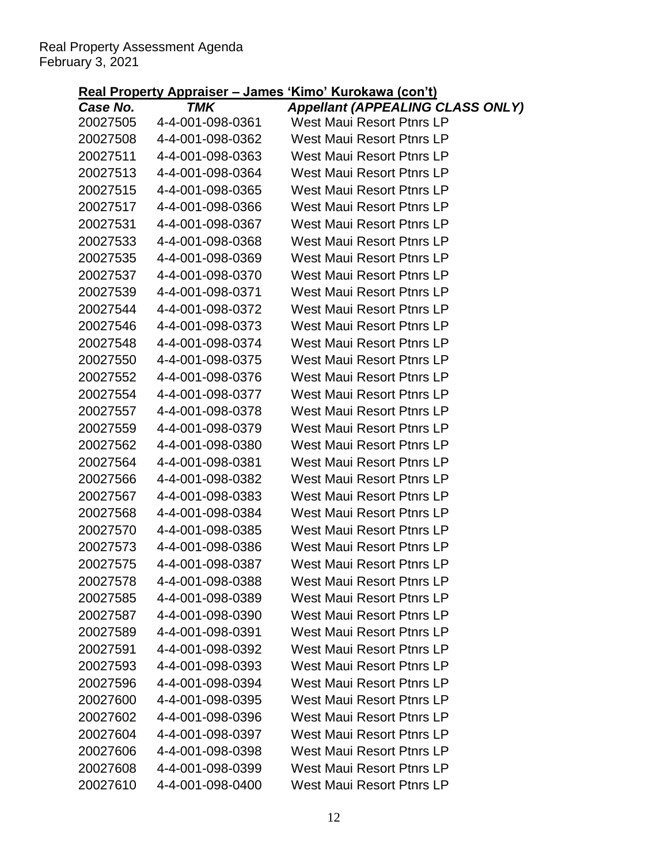|                      | $l$ is a report of $u$ is a reported to $u$ in $u$ | <u>KIND KULUNGWA (CUN LJ</u>                                         |
|----------------------|----------------------------------------------------|----------------------------------------------------------------------|
| Case No.<br>20027505 | TMK<br>4-4-001-098-0361                            | <b>Appellant (APPEALING CLASS ONLY)</b><br>West Maui Resort Ptnrs LP |
| 20027508             | 4-4-001-098-0362                                   | <b>West Maui Resort Ptnrs LP</b>                                     |
| 20027511             | 4-4-001-098-0363                                   | West Maui Resort Ptnrs LP                                            |
| 20027513             | 4-4-001-098-0364                                   | West Maui Resort Ptnrs LP                                            |
| 20027515             | 4-4-001-098-0365                                   | West Maui Resort Ptnrs LP                                            |
| 20027517             | 4-4-001-098-0366                                   | West Maui Resort Ptnrs LP                                            |
| 20027531             | 4-4-001-098-0367                                   | West Maui Resort Ptnrs LP                                            |
| 20027533             | 4-4-001-098-0368                                   | <b>West Maui Resort Ptnrs LP</b>                                     |
| 20027535             | 4-4-001-098-0369                                   | West Maui Resort Ptnrs LP                                            |
| 20027537             | 4-4-001-098-0370                                   | West Maui Resort Ptnrs LP                                            |
| 20027539             | 4-4-001-098-0371                                   | West Maui Resort Ptnrs LP                                            |
| 20027544             | 4-4-001-098-0372                                   | West Maui Resort Ptnrs LP                                            |
| 20027546             | 4-4-001-098-0373                                   | West Maui Resort Ptnrs LP                                            |
| 20027548             | 4-4-001-098-0374                                   | West Maui Resort Ptnrs LP                                            |
| 20027550             | 4-4-001-098-0375                                   | West Maui Resort Ptnrs LP                                            |
| 20027552             | 4-4-001-098-0376                                   | West Maui Resort Ptnrs LP                                            |
| 20027554             | 4-4-001-098-0377                                   | West Maui Resort Ptnrs LP                                            |
| 20027557             | 4-4-001-098-0378                                   | West Maui Resort Ptnrs LP                                            |
| 20027559             | 4-4-001-098-0379                                   | West Maui Resort Ptnrs LP                                            |
| 20027562             | 4-4-001-098-0380                                   | West Maui Resort Ptnrs LP                                            |
| 20027564             | 4-4-001-098-0381                                   | West Maui Resort Ptnrs LP                                            |
| 20027566             | 4-4-001-098-0382                                   | West Maui Resort Ptnrs LP                                            |
| 20027567             | 4-4-001-098-0383                                   | West Maui Resort Ptnrs LP                                            |
| 20027568             | 4-4-001-098-0384                                   | <b>West Maui Resort Ptnrs LP</b>                                     |
| 20027570             | 4-4-001-098-0385                                   | West Maui Resort Ptnrs LP                                            |
| 20027573             | 4-4-001-098-0386                                   | West Maui Resort Ptnrs LP                                            |
| 20027575             | 4-4-001-098-0387                                   | <b>West Maui Resort Ptnrs LP</b>                                     |
| 20027578             | 4-4-001-098-0388                                   | West Maui Resort Ptnrs LP                                            |
| 20027585             | 4-4-001-098-0389                                   | West Maui Resort Ptnrs LP                                            |
| 20027587             | 4-4-001-098-0390                                   | <b>West Maui Resort Ptnrs LP</b>                                     |
| 20027589             | 4-4-001-098-0391                                   | <b>West Maui Resort Ptnrs LP</b>                                     |
| 20027591             | 4-4-001-098-0392                                   | <b>West Maui Resort Ptnrs LP</b>                                     |
| 20027593             | 4-4-001-098-0393                                   | <b>West Maui Resort Ptnrs LP</b>                                     |
| 20027596             | 4-4-001-098-0394                                   | <b>West Maui Resort Ptnrs LP</b>                                     |
| 20027600             | 4-4-001-098-0395                                   | <b>West Maui Resort Ptnrs LP</b>                                     |
| 20027602             | 4-4-001-098-0396                                   | <b>West Maui Resort Ptnrs LP</b>                                     |
| 20027604             | 4-4-001-098-0397                                   | West Maui Resort Ptnrs LP                                            |
| 20027606             | 4-4-001-098-0398                                   | West Maui Resort Ptnrs LP                                            |
| 20027608             | 4-4-001-098-0399                                   | <b>West Maui Resort Ptnrs LP</b>                                     |
| 20027610             | 4-4-001-098-0400                                   | <b>West Maui Resort Ptnrs LP</b>                                     |